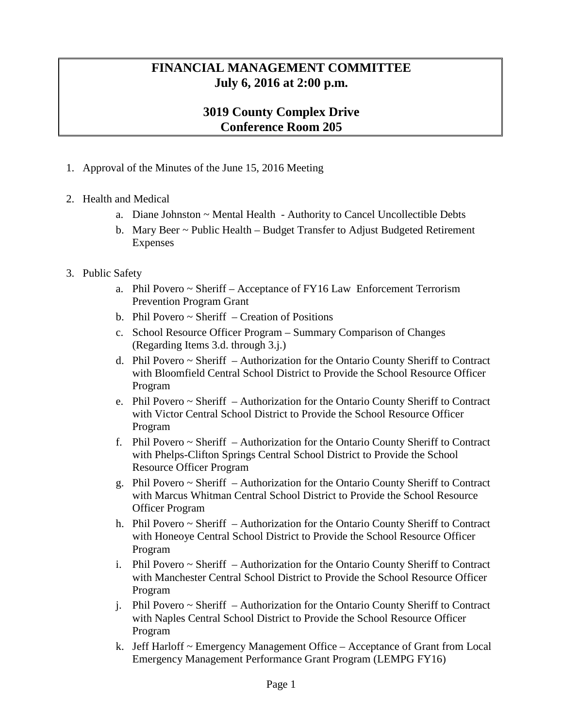## **FINANCIAL MANAGEMENT COMMITTEE July 6, 2016 at 2:00 p.m.**

## **3019 County Complex Drive Conference Room 205**

- 1. Approval of the Minutes of the June 15, 2016 Meeting
- 2. Health and Medical
	- a. Diane Johnston ~ Mental Health Authority to Cancel Uncollectible Debts
	- b. Mary Beer ~ Public Health Budget Transfer to Adjust Budgeted Retirement Expenses
- 3. Public Safety
	- a. Phil Povero ~ Sheriff Acceptance of FY16 Law Enforcement Terrorism Prevention Program Grant
	- b. Phil Povero  $\sim$  Sheriff Creation of Positions
	- c. School Resource Officer Program Summary Comparison of Changes (Regarding Items 3.d. through 3.j.)
	- d. Phil Povero  $\sim$  Sheriff Authorization for the Ontario County Sheriff to Contract with Bloomfield Central School District to Provide the School Resource Officer Program
	- e. Phil Povero ~ Sheriff Authorization for the Ontario County Sheriff to Contract with Victor Central School District to Provide the School Resource Officer Program
	- f. Phil Povero ~ Sheriff Authorization for the Ontario County Sheriff to Contract with Phelps-Clifton Springs Central School District to Provide the School Resource Officer Program
	- g. Phil Povero  $\sim$  Sheriff Authorization for the Ontario County Sheriff to Contract with Marcus Whitman Central School District to Provide the School Resource Officer Program
	- h. Phil Povero ~ Sheriff Authorization for the Ontario County Sheriff to Contract with Honeoye Central School District to Provide the School Resource Officer Program
	- i. Phil Povero ~ Sheriff Authorization for the Ontario County Sheriff to Contract with Manchester Central School District to Provide the School Resource Officer Program
	- j. Phil Povero ~ Sheriff Authorization for the Ontario County Sheriff to Contract with Naples Central School District to Provide the School Resource Officer Program
	- k. Jeff Harloff ~ Emergency Management Office Acceptance of Grant from Local Emergency Management Performance Grant Program (LEMPG FY16)